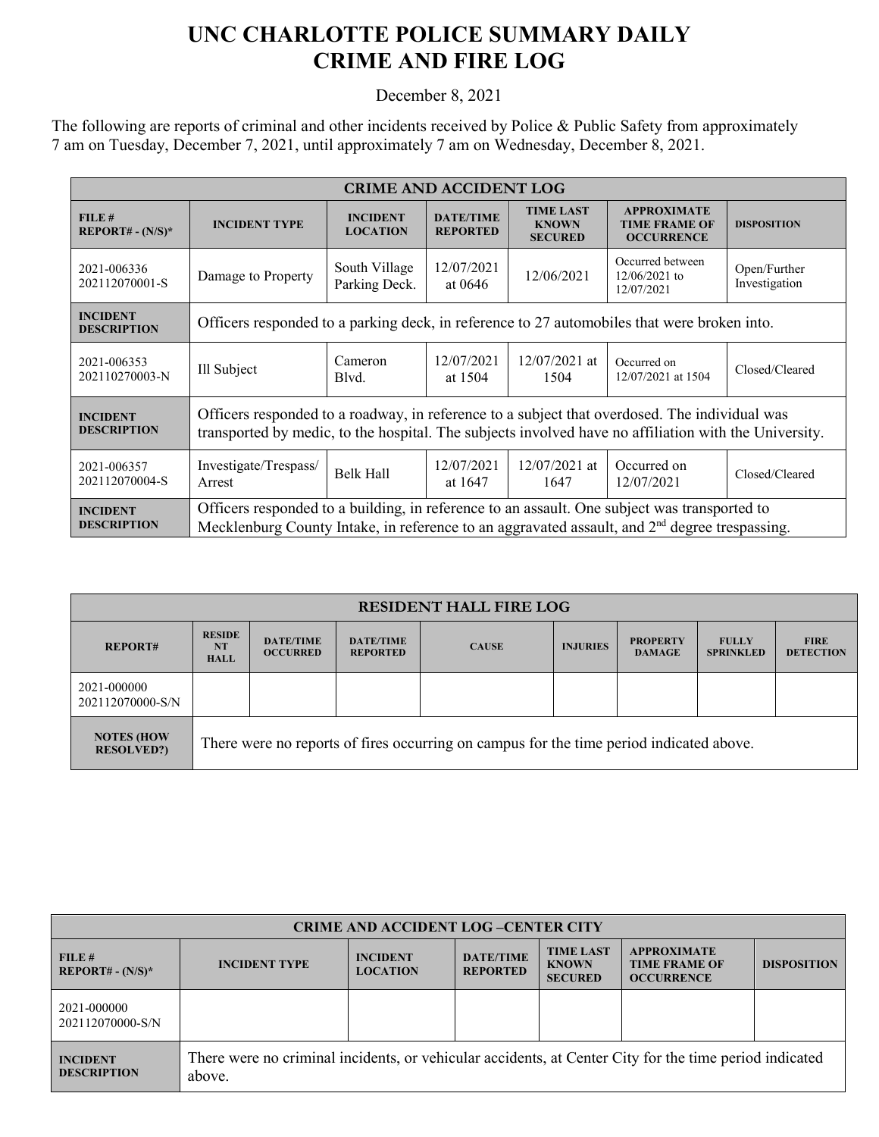## **UNC CHARLOTTE POLICE SUMMARY DAILY CRIME AND FIRE LOG**

December 8, 2021

The following are reports of criminal and other incidents received by Police & Public Safety from approximately 7 am on Tuesday, December 7, 2021, until approximately 7 am on Wednesday, December 8, 2021.

| <b>CRIME AND ACCIDENT LOG</b>         |                                                                                                                                                                                                           |                                    |                                     |                                                    |                                                                 |                               |
|---------------------------------------|-----------------------------------------------------------------------------------------------------------------------------------------------------------------------------------------------------------|------------------------------------|-------------------------------------|----------------------------------------------------|-----------------------------------------------------------------|-------------------------------|
| FILE#<br>$REPORT# - (N/S)*$           | <b>INCIDENT TYPE</b>                                                                                                                                                                                      | <b>INCIDENT</b><br><b>LOCATION</b> | <b>DATE/TIME</b><br><b>REPORTED</b> | <b>TIME LAST</b><br><b>KNOWN</b><br><b>SECURED</b> | <b>APPROXIMATE</b><br><b>TIME FRAME OF</b><br><b>OCCURRENCE</b> | <b>DISPOSITION</b>            |
| 2021-006336<br>202112070001-S         | Damage to Property                                                                                                                                                                                        | South Village<br>Parking Deck.     | 12/07/2021<br>at $0646$             | 12/06/2021                                         | Occurred between<br>$12/06/2021$ to<br>12/07/2021               | Open/Further<br>Investigation |
| <b>INCIDENT</b><br><b>DESCRIPTION</b> | Officers responded to a parking deck, in reference to 27 automobiles that were broken into.                                                                                                               |                                    |                                     |                                                    |                                                                 |                               |
| 2021-006353<br>202110270003-N         | Ill Subject                                                                                                                                                                                               | Cameron<br>Blvd.                   | 12/07/2021<br>at 1504               | $12/07/2021$ at<br>1504                            | Occurred on<br>12/07/2021 at 1504                               | Closed/Cleared                |
| <b>INCIDENT</b><br><b>DESCRIPTION</b> | Officers responded to a roadway, in reference to a subject that overdosed. The individual was<br>transported by medic, to the hospital. The subjects involved have no affiliation with the University.    |                                    |                                     |                                                    |                                                                 |                               |
| 2021-006357<br>202112070004-S         | Investigate/Trespass/<br>Arrest                                                                                                                                                                           | Belk Hall                          | 12/07/2021<br>at 1647               | $12/07/2021$ at<br>1647                            | Occurred on<br>12/07/2021                                       | Closed/Cleared                |
| <b>INCIDENT</b><br><b>DESCRIPTION</b> | Officers responded to a building, in reference to an assault. One subject was transported to<br>Mecklenburg County Intake, in reference to an aggravated assault, and 2 <sup>nd</sup> degree trespassing. |                                    |                                     |                                                    |                                                                 |                               |

| <b>RESIDENT HALL FIRE LOG</b>          |                                                                                         |                                     |                                     |              |                 |                                  |                                  |                                 |
|----------------------------------------|-----------------------------------------------------------------------------------------|-------------------------------------|-------------------------------------|--------------|-----------------|----------------------------------|----------------------------------|---------------------------------|
| <b>REPORT#</b>                         | <b>RESIDE</b><br><b>NT</b><br><b>HALL</b>                                               | <b>DATE/TIME</b><br><b>OCCURRED</b> | <b>DATE/TIME</b><br><b>REPORTED</b> | <b>CAUSE</b> | <b>INJURIES</b> | <b>PROPERTY</b><br><b>DAMAGE</b> | <b>FULLY</b><br><b>SPRINKLED</b> | <b>FIRE</b><br><b>DETECTION</b> |
| 2021-000000<br>202112070000-S/N        |                                                                                         |                                     |                                     |              |                 |                                  |                                  |                                 |
| <b>NOTES (HOW</b><br><b>RESOLVED?)</b> | There were no reports of fires occurring on campus for the time period indicated above. |                                     |                                     |              |                 |                                  |                                  |                                 |

| <b>CRIME AND ACCIDENT LOG-CENTER CITY</b> |                                                                                                                  |                                    |                                     |                                                    |                                                                 |                    |  |
|-------------------------------------------|------------------------------------------------------------------------------------------------------------------|------------------------------------|-------------------------------------|----------------------------------------------------|-----------------------------------------------------------------|--------------------|--|
| FILE#<br>$REPORT# - (N/S)^*$              | <b>INCIDENT TYPE</b>                                                                                             | <b>INCIDENT</b><br><b>LOCATION</b> | <b>DATE/TIME</b><br><b>REPORTED</b> | <b>TIME LAST</b><br><b>KNOWN</b><br><b>SECURED</b> | <b>APPROXIMATE</b><br><b>TIME FRAME OF</b><br><b>OCCURRENCE</b> | <b>DISPOSITION</b> |  |
| 2021-000000<br>202112070000-S/N           |                                                                                                                  |                                    |                                     |                                                    |                                                                 |                    |  |
| <b>INCIDENT</b><br><b>DESCRIPTION</b>     | There were no criminal incidents, or vehicular accidents, at Center City for the time period indicated<br>above. |                                    |                                     |                                                    |                                                                 |                    |  |